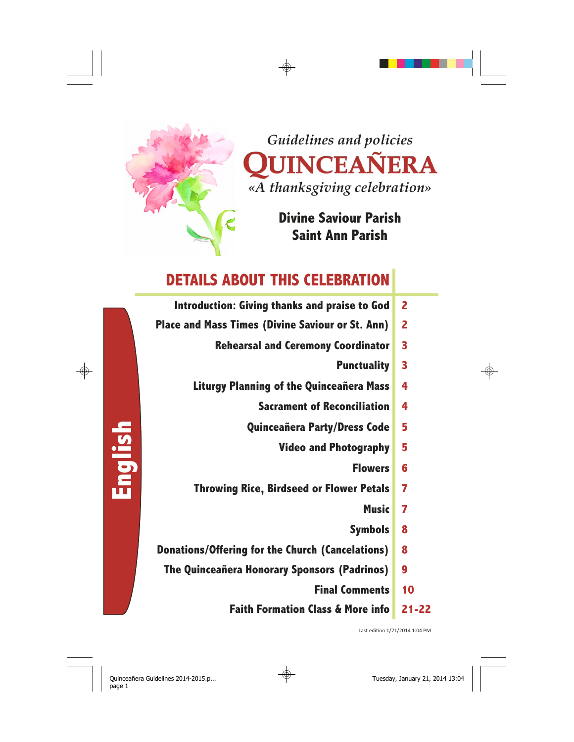

# **Divine Saviour Parish Saint Ann Parish**



- **Introduction: Giving thanks and praise to God 2**
- **Place and Mass Times (Divine Saviour or St. Ann) 2** 
	- **Rehearsal and Ceremony Coordinator 3** 
		- **Punctuality 3**
	- **Liturgy Planning of the Quinceañera Mass 4** 
		- **Sacrament of Reconciliation 4**
		- **Quinceañera Party/Dress Code 5** 
			- **Video and Photography 5** 
				- **Flowers 6**
	- **Throwing Rice, Birdseed or Flower Petals 7** 
		- **Music 7**
		- **Symbols 8**
- **Donations/Offering for the Church (Cancelations) 8** 
	- **The Quinceañera Honorary Sponsors (Padrinos) 9** 
		- **Final Comments 10**
		- **Faith Formation Class & More info 21-22**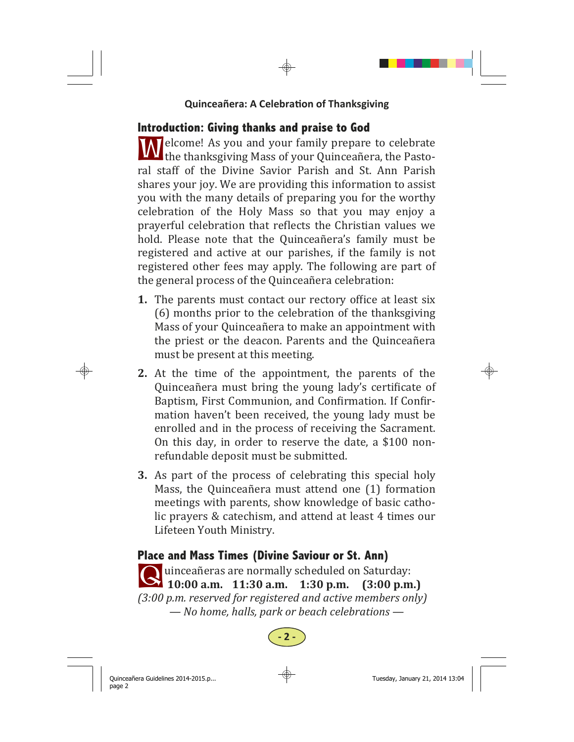# **Introduction: Giving thanks and praise to God**

**W** elcome! As you and your family prepare to celebrate **TAT** the thanksgiving Mass of your Quinceañera, the Pastoral staff of the Divine Savior Parish and St. Ann Parish shares your joy. We are providing this information to assist you with the many details of preparing you for the worthy celebration of the Holy Mass so that you may enjoy a prayerful celebration that reflects the Christian values we hold. Please note that the Quinceañera's family must be registered and active at our parishes, if the family is not registered other fees may apply. The following are part of the general process of the Quinceañera celebration:

- **1.** The parents must contact our rectory office at least six (6) months prior to the celebration of the thanksgiving Mass of your Quinceañera to make an appointment with the priest or the deacon. Parents and the Quinceañera must be present at this meeting.
- **2.** At the time of the appointment, the parents of the Quinceañera must bring the young lady's certificate of Baptism, First Communion, and Confirmation. If Confirmation haven't been received, the young lady must be enrolled and in the process of receiving the Sacrament. On this day, in order to reserve the date, a  $$100$  nonrefundable deposit must be submitted.
- **3.** As part of the process of celebrating this special holy Mass, the Quinceañera must attend one (1) formation meetings with parents, show knowledge of basic catholic prayers & catechism, and attend at least 4 times our Lifeteen Youth Ministry.

# **Place and Mass Times (Divine Saviour or St. Ann)**

q uinceañeras are normally scheduled on Saturday:<br> **2 10:00 a.m.** 11:30 **a.m.** 1:30 **p.m.** (3:00 **p.m.**)  $\sum$  10:00 a.m. 11:30 a.m. *(3:00 p.m. reserved for registered and active members only) — No home, halls, park or beach celebrations —*

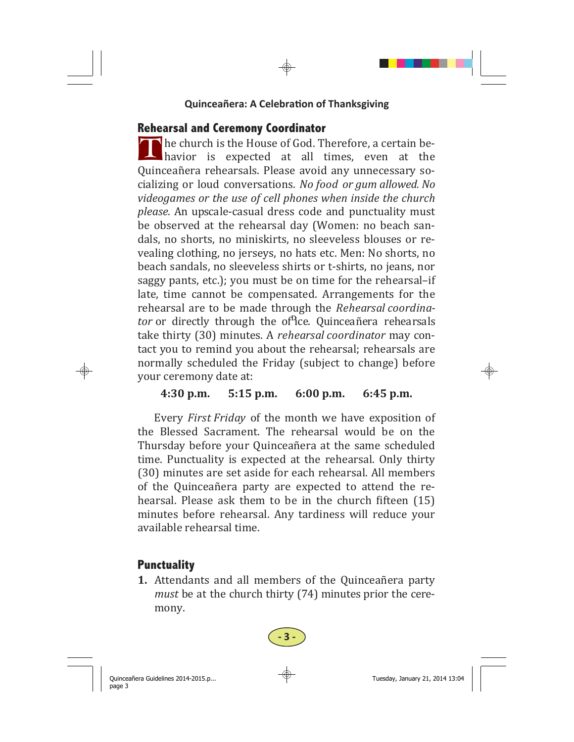## **Rehearsal and Ceremony Coordinator**

 $\Gamma$  he church is the House of God. Therefore, a certain be-<br>havior is expected at all times, even at the havior is expected at all times, even Quinceañera rehearsals. Please avoid any unnecessary socializing or loud conversations. *No food or gum allowed. No videogames or the use of cell phones when inside the church please.* An upscale-casual dress code and punctuality must be observed at the rehearsal day (Women: no beach sandals, no shorts, no miniskirts, no sleeveless blouses or revealing clothing, no jerseys, no hats etc. Men: No shorts, no beach sandals, no sleeveless shirts or t-shirts, no jeans, nor saggy pants, etc.); you must be on time for the rehearsal-if late, time cannot be compensated. Arrangements for the rehearsal are to be made through the *Rehearsal coordinator* or directly through the of<sup>n</sup>ice. Quinceañera rehearsals take thirty (30) minutes. A *rehearsal coordinator* may contact you to remind you about the rehearsal; rehearsals are normally scheduled the Friday (subject to change) before your ceremony date at:

## **4:30 p.m. 5:15 p.m. 6:00 p.m. 6:45 p.m.**

Every *First Friday* of the month we have exposition of the Blessed Sacrament. The rehearsal would be on the Thursday before your Quinceañera at the same scheduled time. Punctuality is expected at the rehearsal. Only thirty (30) minutes are set aside for each rehearsal. All members of the Quinceañera party are expected to attend the rehearsal. Please ask them to be in the church fifteen  $(15)$ minutes before rehearsal. Any tardiness will reduce your available rehearsal time.

# **Punctuality**

**1.** Attendants and all members of the Quinceañera party *must* be at the church thirty (74) minutes prior the ceremony.

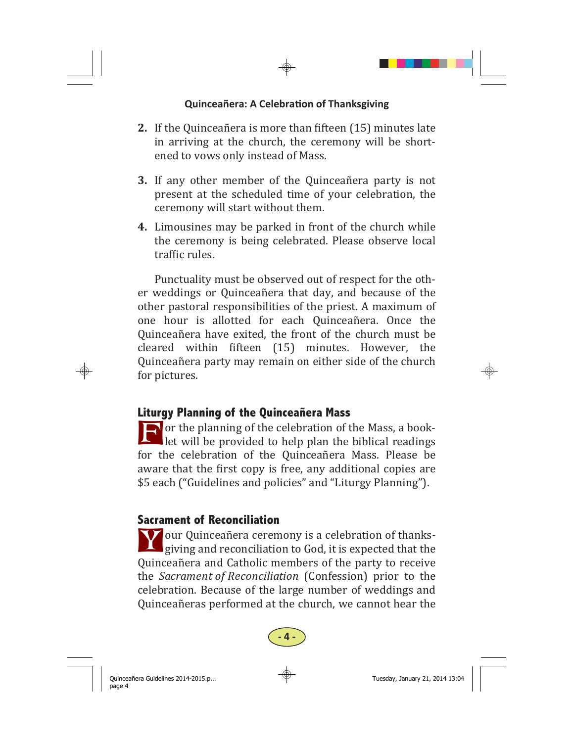- **2.** If the Quinceañera is more than fifteen (15) minutes late in arriving at the church, the ceremony will be shortened to vows only instead of Mass.
- **3.** If any other member of the Quinceañera party is not present at the scheduled time of your celebration, the ceremony will start without them.
- **4.** Limousines may be parked in front of the church while the ceremony is being celebrated. Please observe local traffic rules.

Punctuality must be observed out of respect for the other weddings or Quinceañera that day, and because of the other pastoral responsibilities of the priest. A maximum of one hour is allotted for each Ouinceañera. Once the Quinceañera have exited, the front of the church must be cleared within fifteen (15) minutes. However, the Quinceañera party may remain on either side of the church for pictures.

## **Liturgy Planning of the Quinceañera Mass**

F or the planning of the celebration of the Mass, a book-<br>let will be provided to help plan the biblical readings for the celebration of the Quinceañera Mass. Please be aware that the first copy is free, any additional copies are \$5 each ("Guidelines and policies" and "Liturgy Planning").

## **Sacrament of Reconciliation**

**Y** our Quinceañera ceremony is a celebration of thanks-<br>giving and reconciliation to God, it is expected that the Quinceañera and Catholic members of the party to receive the *Sacrament of Reconciliation* (Confession) prior to the celebration. Because of the large number of weddings and Quinceañeras performed at the church, we cannot hear the

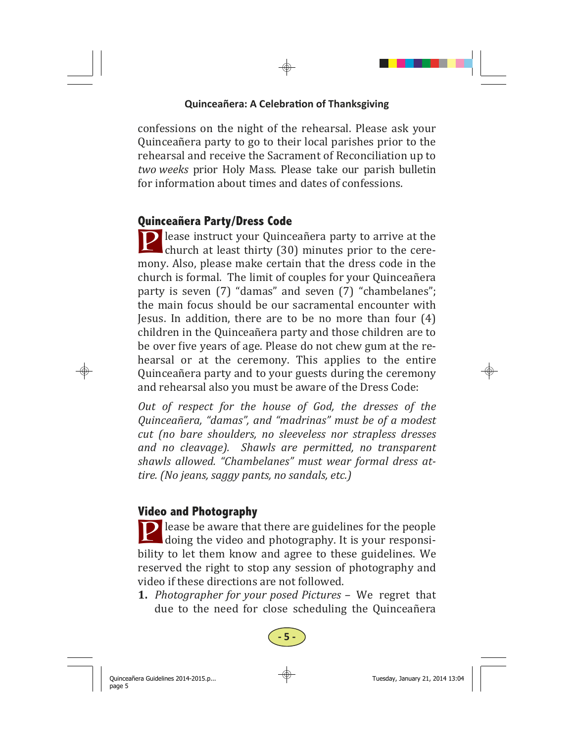confessions on the night of the rehearsal. Please ask your Quinceañera party to go to their local parishes prior to the rehearsal and receive the Sacrament of Reconciliation up to two weeks prior Holy Mass. Please take our parish bulletin for information about times and dates of confessions.

## **Quinceañera Party/Dress Code**

**P** lease instruct your Quinceañera party to arrive at the church at least thirty  $(30)$  minutes prior to the ceremony. Also, please make certain that the dress code in the church is formal. The limit of couples for your Quinceañera party is seven (7) "damas" and seven (7) "chambelanes"; the main focus should be our sacramental encounter with Jesus. In addition, there are to be no more than four  $(4)$ children in the Quinceañera party and those children are to be over five vears of age. Please do not chew gum at the rehearsal or at the ceremony. This applies to the entire Quinceañera party and to your guests during the ceremony and rehearsal also you must be aware of the Dress Code:

*Out of respect for the house of God, the dresses of the Quinceañera, "damas", and "madrinas" must be of a modest cut (no bare shoulders, no sleeveless nor strapless dresses and no cleavage). Shawls are permitted, no transparent shawls allowed. "Chambelanes" must wear formal dress attire. (No jeans, saggy pants, no sandals, etc.)* 

## **Video and Photography**

 $\Box$  lease be aware that there are guidelines for the people  $\Box$  doing the video and photography. It is your responsibility to let them know and agree to these guidelines. We reserved the right to stop any session of photography and video if these directions are not followed.

**1.** *Photographer for your posed Pictures –* We regret that due to the need for close scheduling the Quinceañera

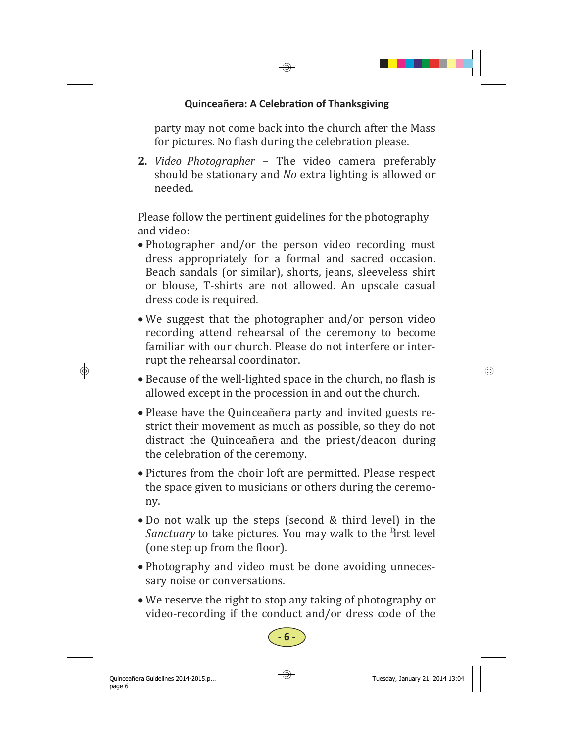party may not come back into the church after the Mass for pictures. No flash during the celebration please.

**2.** *Video Photographer* – The video camera preferably should be stationary and *No* extra lighting is allowed or needed.

Please follow the pertinent guidelines for the photography and video:

- Photographer and/or the person video recording must dress appropriately for a formal and sacred occasion. Beach sandals (or similar), shorts, jeans, sleeveless shirt or blouse, T-shirts are not allowed. An upscale casual dress code is required.
- We suggest that the photographer and/or person video recording attend rehearsal of the ceremony to become familiar with our church. Please do not interfere or interrupt the rehearsal coordinator.
- Because of the well-lighted space in the church, no flash is allowed except in the procession in and out the church.
- Please have the Quinceañera party and invited guests restrict their movement as much as possible, so they do not distract the Quinceañera and the priest/deacon during the celebration of the ceremony.
- Pictures from the choir loft are permitted. Please respect the space given to musicians or others during the ceremony.
- $\bullet$  Do not walk up the steps (second & third level) in the *Sanctuary* to take pictures. You may walk to the <sup>n</sup>rst level (one step up from the floor).
- Photography and video must be done avoiding unnecessary noise or conversations.
- We reserve the right to stop any taking of photography or video-recording if the conduct and/or dress code of the

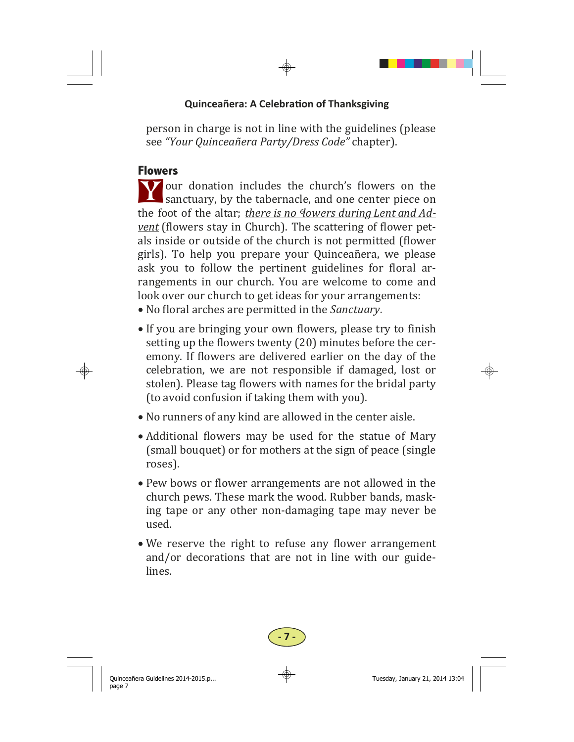person in charge is not in line with the guidelines (please see *"Your Quinceañera Party/Dress Code"* chapter). 

## **Flowers**

Y our donation includes the church's flowers on the sanctuary, by the tabernacle, and one center piece on the foot of the altar; *there* is no *Nowers* during Lent and Ad*vent* (flowers stay in Church). The scattering of flower petals inside or outside of the church is not permitted (flower girls). To help you prepare your Quinceañera, we please ask you to follow the pertinent guidelines for floral arrangements in our church. You are welcome to come and look over our church to get ideas for your arrangements:

- No floral arches are permitted in the *Sanctuary*.
- If you are bringing your own flowers, please try to finish setting up the flowers twenty (20) minutes before the ceremony. If flowers are delivered earlier on the day of the celebration, we are not responsible if damaged, lost or stolen). Please tag flowers with names for the bridal party (to avoid confusion if taking them with you).
- No runners of any kind are allowed in the center aisle.
- Additional flowers may be used for the statue of Mary (small bouquet) or for mothers at the sign of peace (single roses).
- Pew bows or flower arrangements are not allowed in the church pews. These mark the wood. Rubber bands, masking tape or any other non-damaging tape may never be used.
- $\bullet$  We reserve the right to refuse any flower arrangement and/or decorations that are not in line with our guidelines.

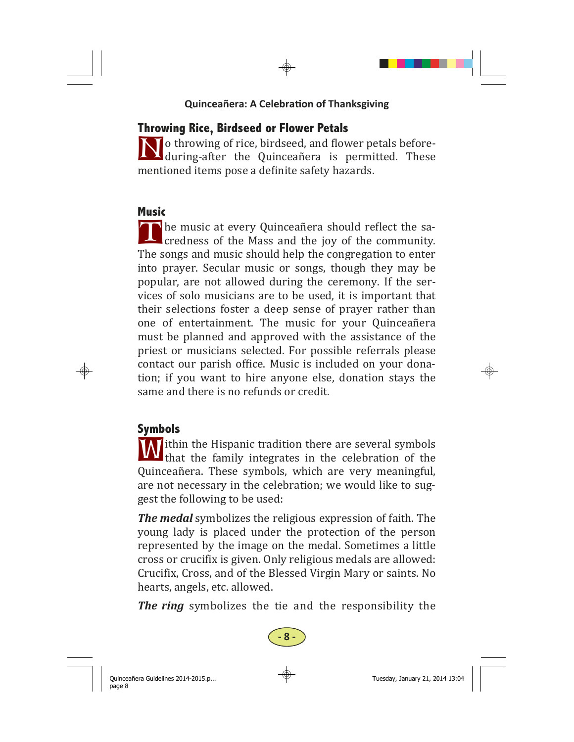# **Throwing Rice, Birdseed or Flower Petals**

I o throwing of rice, birdseed, and flower petals before- $\Delta$  during-after the Quinceañera is permitted. These mentioned items pose a definite safety hazards.

## **Music**

The music at every Quinceañera should reflect the sa-<br>credness of the Mass and the joy of the community. The songs and music should help the congregation to enter into prayer. Secular music or songs, though they may be popular, are not allowed during the ceremony. If the services of solo musicians are to be used, it is important that their selections foster a deep sense of prayer rather than one of entertainment. The music for your Quinceañera must be planned and approved with the assistance of the priest or musicians selected. For possible referrals please contact our parish office. Music is included on your donation; if you want to hire anyone else, donation stays the same and there is no refunds or credit.

# **Symbols**

W ithin the Hispanic tradition there are several symbols<br>that the family integrates in the celebration of the Quinceañera. These symbols, which are very meaningful, are not necessary in the celebration; we would like to suggest the following to be used:

*The medal* symbolizes the religious expression of faith. The young lady is placed under the protection of the person represented by the image on the medal. Sometimes a little cross or crucifix is given. Only religious medals are allowed: Crucifix, Cross, and of the Blessed Virgin Mary or saints. No hearts, angels, etc. allowed.

**The ring** symbolizes the tie and the responsibility the

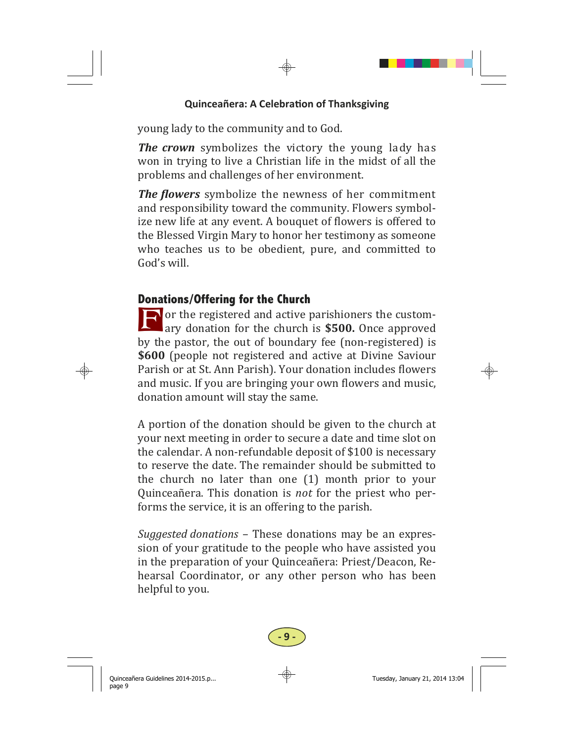young lady to the community and to God.

*The crown* symbolizes the victory the young lady has won in trying to live a Christian life in the midst of all the problems and challenges of her environment.

*The flowers* symbolize the newness of her commitment and responsibility toward the community. Flowers symbolize new life at any event. A bouquet of flowers is offered to the Blessed Virgin Mary to honor her testimony as someone who teaches us to be obedient, pure, and committed to God's will.

## **Donations/Offering for the Church**

 $\Box$  or the registered and active parishioners the customary donation for the church is **\$500.** Once approved by the pastor, the out of boundary fee (non-registered) is **\$600** (people not registered and active at Divine Saviour Parish or at St. Ann Parish). Your donation includes flowers and music. If you are bringing your own flowers and music, donation amount will stay the same.

A portion of the donation should be given to the church at your next meeting in order to secure a date and time slot on the calendar. A non-refundable deposit of \$100 is necessary to reserve the date. The remainder should be submitted to the church no later than one  $(1)$  month prior to your Quinceañera. This donation is *not* for the priest who performs the service, it is an offering to the parish.

*Suggested donations* – These donations may be an expression of your gratitude to the people who have assisted you in the preparation of your Quinceañera: Priest/Deacon, Rehearsal Coordinator, or any other person who has been helpful to you.

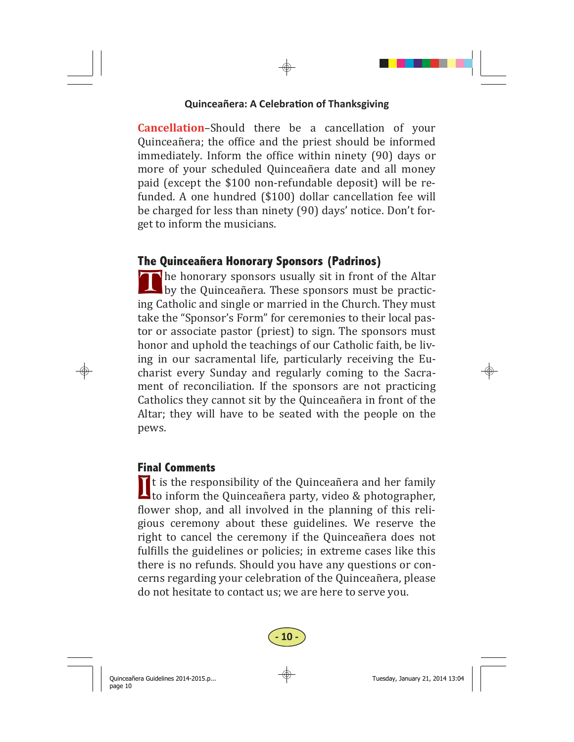**Cancellation-Should** there be a cancellation of your Quinceañera; the office and the priest should be informed immediately. Inform the office within ninety (90) days or more of your scheduled Ouinceañera date and all money paid (except the \$100 non-refundable deposit) will be refunded. A one hundred (\$100) dollar cancellation fee will be charged for less than ninety (90) days' notice. Don't forget to inform the musicians.

## **The Quinceañera Honorary Sponsors (Padrinos)**

 $\blacksquare$  he honorary sponsors usually sit in front of the Altar by the Quinceañera. These sponsors must be practicing Catholic and single or married in the Church. They must take the "Sponsor's Form" for ceremonies to their local pastor or associate pastor (priest) to sign. The sponsors must honor and uphold the teachings of our Catholic faith, be living in our sacramental life, particularly receiving the Eucharist every Sunday and regularly coming to the Sacrament of reconciliation. If the sponsors are not practicing Catholics they cannot sit by the Quinceañera in front of the Altar; they will have to be seated with the people on the pews. 

#### **Final Comments**

It is the responsibility of the Quinceañera and her family<br>to inform the Quinceañera party, video & photographer, flower shop, and all involved in the planning of this religious ceremony about these guidelines. We reserve the right to cancel the ceremony if the Quinceañera does not fulfills the guidelines or policies; in extreme cases like this there is no refunds. Should you have any questions or concerns regarding your celebration of the Quinceañera, please do not hesitate to contact us; we are here to serve you.

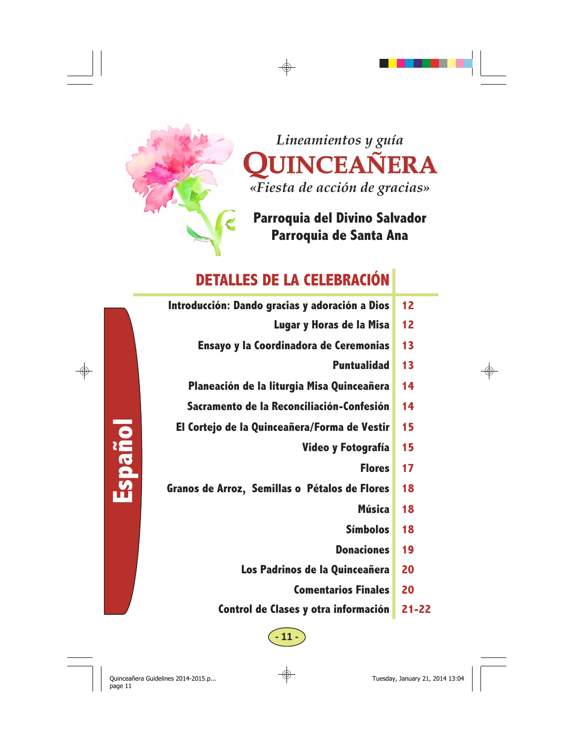

**Español** 

*Lineamientos y guía*  QUINCEAÑERA *«Fiesta de acción de gracias»* 

**Parroquia del Divino Salvador Parroquia de Santa Ana** 

# **DETALLES DE LA CELEBRACIÓN**

| 12 | Introducción: Dando gracias y adoración a Dios |
|----|------------------------------------------------|
| 12 | Lugar y Horas de la Misa                       |
| 13 | Ensayo y la Coordinadora de Ceremonias         |
| 13 | <b>Puntualidad</b>                             |
| 14 | Planeación de la liturgia Misa Quinceañera     |
| 14 | Sacramento de la Reconciliación-Confesión      |
| 15 | El Cortejo de la Quinceañera/Forma de Vestir   |
| 15 | Video y Fotografía                             |
| 17 | <b>Flores</b>                                  |
| 18 | Granos de Arroz, Semillas o Pétalos de Flores  |
| 18 | <b>Música</b>                                  |
| 18 | <b>Símbolos</b>                                |
| 19 | <b>Donaciones</b>                              |
| 20 | Los Padrinos de la Quinceañera                 |
| 20 | <b>Comentarios Finales</b>                     |
|    |                                                |

**- 11 -** 

**Control de Clases y otra información 21-22**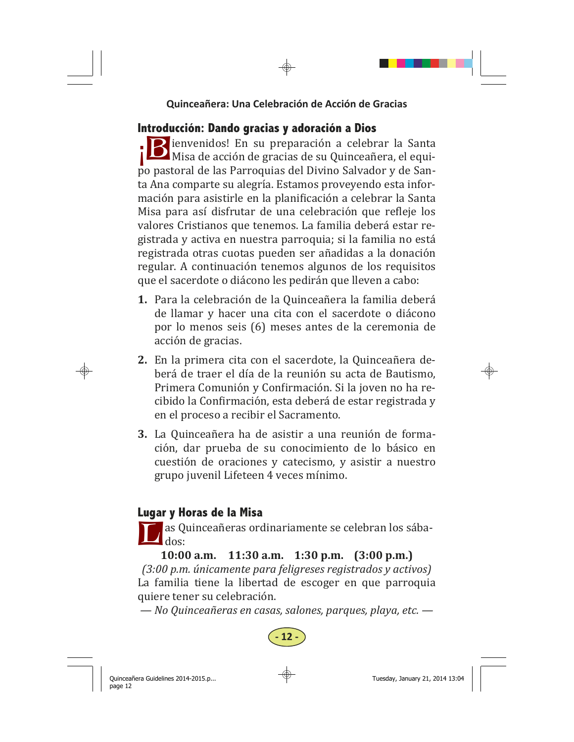# **Introducción: Dando gracias y adoración a Dios**

**B** ienvenidos! En su preparación a celebrar la Santa Misa de acción de gracias de su Quinceañera, el equipo pastoral de las Parroquias del Divino Salvador y de Santa Ana comparte su alegría. Estamos proveyendo esta información para asistirle en la planificación a celebrar la Santa Misa para así disfrutar de una celebración que refleje los valores Cristianos que tenemos. La familia deberá estar registrada y activa en nuestra parroquia; si la familia no está registrada otras cuotas pueden ser añadidas a la donación regular. A continuación tenemos algunos de los requisitos que el sacerdote o diácono les pedirán que lleven a cabo:

- 1. Para la celebración de la Quinceañera la familia deberá de llamar y hacer una cita con el sacerdote o diácono por lo menos seis (6) meses antes de la ceremonia de acción de gracias.
- **2.** En la primera cita con el sacerdote, la Quinceañera deberá de traer el día de la reunión su acta de Bautismo, Primera Comunión y Confirmación. Si la joven no ha recibido la Confirmación, esta deberá de estar registrada y en el proceso a recibir el Sacramento.
- **3.** La Quinceañera ha de asistir a una reunión de formación, dar prueba de su conocimiento de lo básico en cuestión de oraciones y catecismo, y asistir a nuestro grupo juvenil Lifeteen 4 veces mínimo.

# **Lugar y Horas de la Misa**

as Quinceañeras ordinariamente se celebran los sába- $\mathbf{I}_{\text{dos:}}$ 

**10:00 a.m. 11:30 a.m. 1:30 p.m. (3:00 p.m.)**  *(3:00 p.m. únicamente para feligreses registrados y activos)* La familia tiene la libertad de escoger en que parroquia quiere tener su celebración.

*— No Quinceañeras en casas, salones, parques, playa, etc. —*

**- 12 -**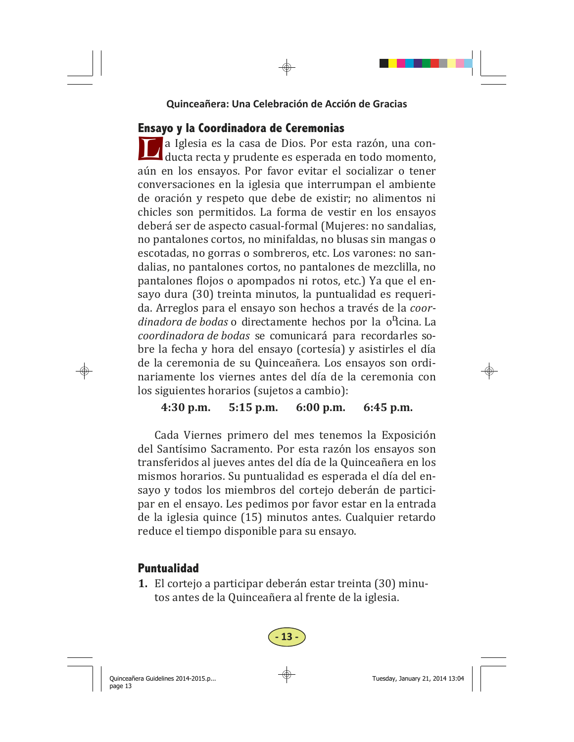## **Ensayo y la Coordinadora de Ceremonias**

L a Iglesia es la casa de Dios. Por esta razón, una con-<br>ducta recta y prudente es esperada en todo momento, aún en los ensayos. Por favor evitar el socializar o tener conversaciones en la iglesia que interrumpan el ambiente de oración y respeto que debe de existir; no alimentos ni chicles son permitidos. La forma de vestir en los ensayos deberá ser de aspecto casual-formal (Mujeres: no sandalias, no pantalones cortos, no minifaldas, no blusas sin mangas o escotadas, no gorras o sombreros, etc. Los varones: no sandalias, no pantalones cortos, no pantalones de mezclilla, no pantalones flojos o apompados ni rotos, etc.) Ya que el ensayo dura (30) treinta minutos, la puntualidad es requerida. Arreglos para el ensayo son hechos a través de la *coordinadora de bodas* o directamente hechos por la o<sup>n</sup>icina. La *coordinadora de bodas* se comunicará para recordarles sobre la fecha y hora del ensayo (cortesía) y asistirles el día de la ceremonia de su Quinceañera. Los ensayos son ordinariamente los viernes antes del día de la ceremonia con los siguientes horarios (sujetos a cambio):

## **4:30 p.m. 5:15 p.m. 6:00 p.m. 6:45 p.m.**

Cada Viernes primero del mes tenemos la Exposición del Santísimo Sacramento. Por esta razón los ensayos son transferidos al jueves antes del día de la Quinceañera en los mismos horarios. Su puntualidad es esperada el día del ensayo y todos los miembros del cortejo deberán de participar en el ensayo. Les pedimos por favor estar en la entrada de la iglesia quince (15) minutos antes. Cualquier retardo reduce el tiempo disponible para su ensayo.

# **Puntualidad**

**1.** El cortejo a participar deberán estar treinta (30) minutos antes de la Quinceañera al frente de la iglesia.

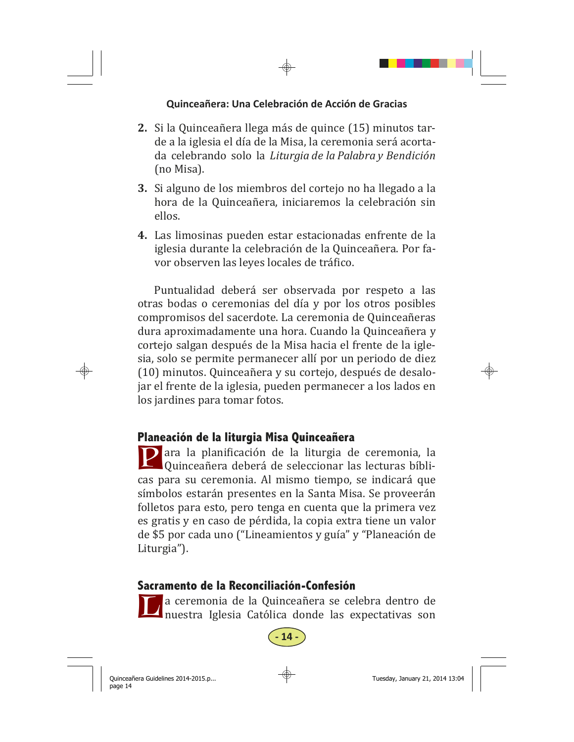- **2.** Si la Quinceañera llega más de quince (15) minutos tarde a la iglesia el día de la Misa, la ceremonia será acortada celebrando solo la *Liturgia de la Palabra y Bendición* (no Misa).
- **3.** Si alguno de los miembros del cortejo no ha llegado a la hora de la Quinceañera, iniciaremos la celebración sin ellos.
- **4.** Las limosinas pueden estar estacionadas enfrente de la iglesia durante la celebración de la Quinceañera. Por favor observen las leyes locales de tráfico.

Puntualidad deberá ser observada por respeto a las otras bodas o ceremonias del día y por los otros posibles compromisos del sacerdote. La ceremonia de Quinceañeras dura aproximadamente una hora. Cuando la Quinceañera y cortejo salgan después de la Misa hacia el frente de la iglesia, solo se permite permanecer allí por un periodo de diez (10) minutos. Quinceañera y su cortejo, después de desalojar el frente de la iglesia, pueden permanecer a los lados en los jardines para tomar fotos.

## **Planeación de la liturgia Misa Quinceañera**

**P** ara la planificación de la liturgia de ceremonia, la Quinceañera deberá de seleccionar las lecturas bíblicas para su ceremonia. Al mismo tiempo, se indicará que símbolos estarán presentes en la Santa Misa. Se proveerán folletos para esto, pero tenga en cuenta que la primera vez es gratis y en caso de pérdida, la copia extra tiene un valor de \$5 por cada uno ("Lineamientos y guía" y "Planeación de Liturgia").

## **Sacramento de la Reconciliación-Confesión**

La ceremonia de la Quinceañera se celebra dentro de<br>nuestra Iglesia Católica donde las expectativas son

**- 14 -**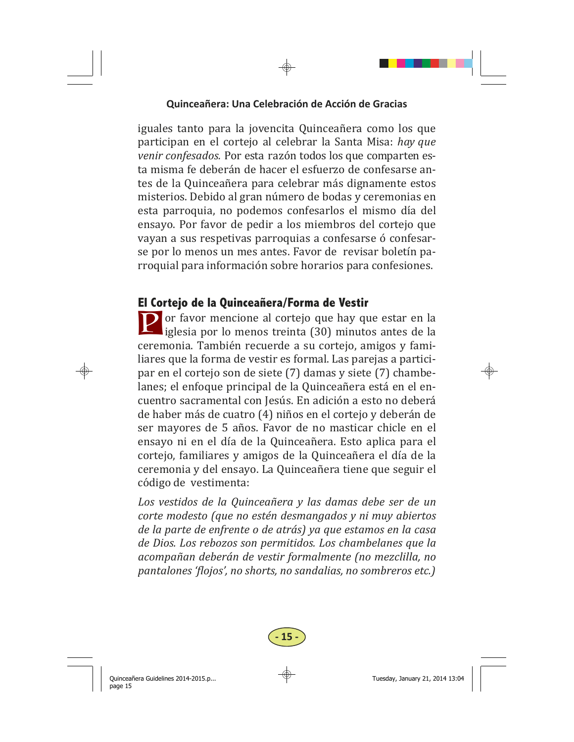iguales tanto para la jovencita Quinceañera como los que participan en el cortejo al celebrar la Santa Misa: *hay que venir confesados.* Por esta razón todos los que comparten esta misma fe deberán de hacer el esfuerzo de confesarse antes de la Quinceañera para celebrar más dignamente estos misterios. Debido al gran número de bodas y ceremonias en esta parroquia, no podemos confesarlos el mismo día del ensayo. Por favor de pedir a los miembros del corteio que vayan a sus respetivas parroquias a confesarse ó confesarse por lo menos un mes antes. Favor de revisar boletín parroquial para información sobre horarios para confesiones.

## **El Cortejo de la Quinceañera/Forma de Vestir**

**P** or favor mencione al cortejo que hay que estar en la iglesia por lo menos treinta  $(30)$  minutos antes de la ceremonia. También recuerde a su cortejo, amigos y familiares que la forma de vestir es formal. Las parejas a participar en el cortejo son de siete (7) damas y siete (7) chambelanes; el enfoque principal de la Quinceañera está en el encuentro sacramental con Jesús. En adición a esto no deberá de haber más de cuatro (4) niños en el cortejo y deberán de ser mayores de 5 años. Favor de no masticar chicle en el ensayo ni en el día de la Quinceañera. Esto aplica para el cortejo, familiares y amigos de la Quinceañera el día de la ceremonia y del ensayo. La Quinceañera tiene que seguir el código de vestimenta:

*Los vestidos de la Quinceañera y las damas debe ser de un corte modesto (que no estén desmangados y ni muy abiertos de la parte de enfrente o de atrás) ya que estamos en la casa de Dios. Los rebozos son permitidos. Los chambelanes que la acompañan deberán de vestir formalmente (no mezclilla, no pantalones 'ϔlojos', no shorts, no sandalias, no sombreros etc.)* 

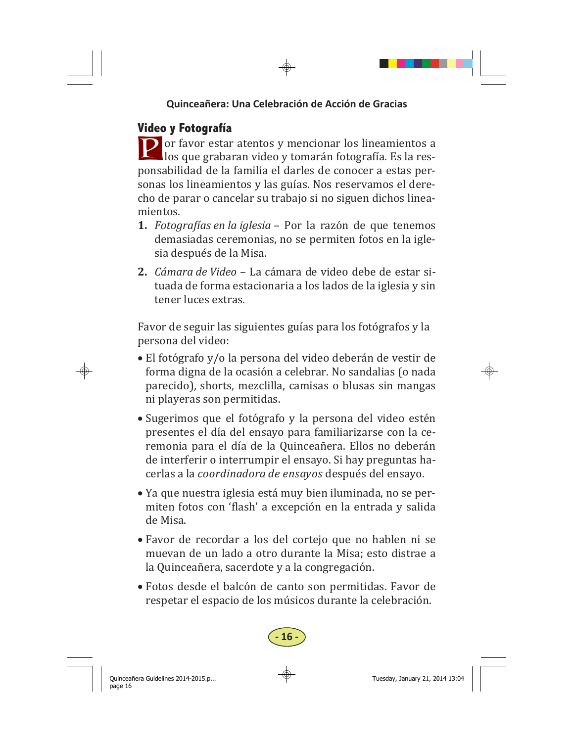# **Video y Fotografía**

**P** or favor estar atentos y mencionar los lineamientos a  $\Box$  los que grabaran video y tomarán fotografía. Es la responsabilidad de la familia el darles de conocer a estas personas los lineamientos y las guías. Nos reservamos el derecho de parar o cancelar su trabajo si no siguen dichos lineamientos. 

- **1.** *Fotograϔías en la iglesia –* Por la razón de que tenemos demasiadas ceremonias, no se permiten fotos en la iglesia después de la Misa.
- **2.** *Cámara de Video* – La cámara de video debe de estar situada de forma estacionaria a los lados de la iglesia y sin tener luces extras.

Favor de seguir las siguientes guías para los fotógrafos y la persona del video:

- El fotógrafo y/o la persona del video deberán de vestir de forma digna de la ocasión a celebrar. No sandalias (o nada parecido), shorts, mezclilla, camisas o blusas sin mangas ni playeras son permitidas.
- Sugerimos que el fotógrafo y la persona del video estén presentes el día del ensayo para familiarizarse con la ceremonia para el día de la Quinceañera. Ellos no deberán de interferir o interrumpir el ensayo. Si hay preguntas hacerlas a la *coordinadora de ensayos* después del ensayo.
- Ya que nuestra iglesia está muy bien iluminada, no se permiten fotos con 'flash' a excepción en la entrada y salida de Misa.
- Favor de recordar a los del cortejo que no hablen ni se muevan de un lado a otro durante la Misa; esto distrae a la Quinceañera, sacerdote y a la congregación.
- Fotos desde el balcón de canto son permitidas. Favor de respetar el espacio de los músicos durante la celebración.

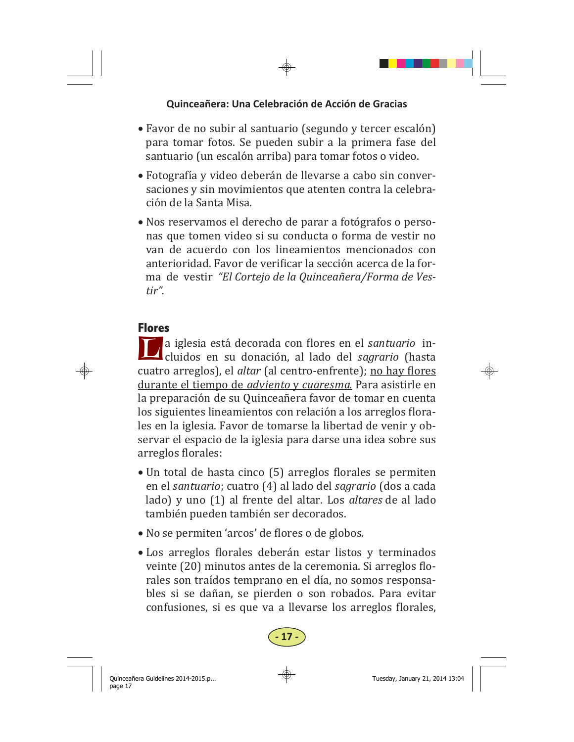- Favor de no subir al santuario (segundo y tercer escalón) para tomar fotos. Se pueden subir a la primera fase del santuario (un escalón arriba) para tomar fotos o video.
- Fotografía y video deberán de llevarse a cabo sin conversaciones y sin movimientos que atenten contra la celebración de la Santa Misa.
- Nos reservamos el derecho de parar a fotógrafos o personas que tomen video si su conducta o forma de vestir no van de acuerdo con los lineamientos mencionados con anterioridad. Favor de verificar la sección acerca de la forma de vestir *"El Cortejo de la Quinceañera/Forma de Vestir".*

#### **Flores**

**L** a iglesia está decorada con flores en el *santuario* in-<br>cluidos en su donación, al lado del *sagrario* (hasta cuatro arreglos), el *altar* (al centro-enfrente); no hay flores durante el tiempo de *adviento* y *cuaresma*. Para asistirle en la preparación de su Quinceañera favor de tomar en cuenta los siguientes lineamientos con relación a los arreglos florales en la iglesia. Favor de tomarse la libertad de venir y observar el espacio de la iglesia para darse una idea sobre sus arreglos florales:

- Un total de hasta cinco (5) arreglos florales se permiten en el *santuario*; cuatro (4) al lado del *sagrario* (dos a cada lado) y uno (1) al frente del altar. Los *altares* de al lado también pueden también ser decorados.
- No se permiten 'arcos' de flores o de globos.
- Los arreglos florales deberán estar listos y terminados veinte (20) minutos antes de la ceremonia. Si arreglos florales son traídos temprano en el día, no somos responsables si se dañan, se pierden o son robados. Para evitar confusiones, si es que va a llevarse los arreglos florales,

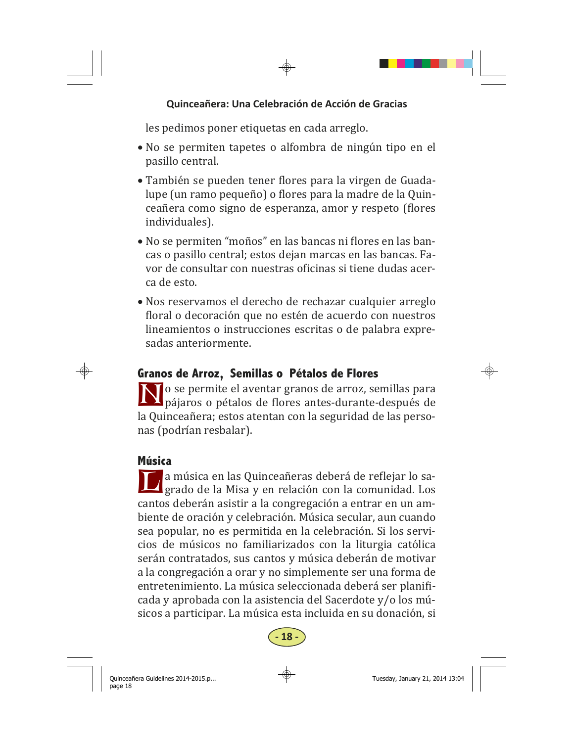les pedimos poner etiquetas en cada arreglo.

- No se permiten tapetes o alfombra de ningún tipo en el pasillo central.
- También se pueden tener flores para la virgen de Guadalupe (un ramo pequeño) o flores para la madre de la Quinceañera como signo de esperanza, amor y respeto (flores individuales).
- No se permiten "moños" en las bancas ni flores en las bancas o pasillo central; estos dejan marcas en las bancas. Favor de consultar con nuestras oficinas si tiene dudas acerca de esto.
- Nos reservamos el derecho de rechazar cualquier arreglo floral o decoración que no estén de acuerdo con nuestros lineamientos o instrucciones escritas o de palabra expresadas anteriormente.

# **Granos de Arroz, Semillas o Pétalos de Flores**

I o se permite el aventar granos de arroz, semillas para  $\mathbf{\Sigma}$  pájaros o pétalos de flores antes-durante-después de la Quinceañera; estos atentan con la seguridad de las personas (podrían resbalar).

## **Música**

**L a** música en las Quinceañeras deberá de reflejar lo sa-<br>grado de la Misa y en relación con la comunidad. Los cantos deberán asistir a la congregación a entrar en un ambiente de oración y celebración. Música secular, aun cuando sea popular, no es permitida en la celebración. Si los servicios de músicos no familiarizados con la liturgia católica serán contratados, sus cantos y música deberán de motivar a la congregación a orar y no simplemente ser una forma de entretenimiento. La música seleccionada deberá ser planificada y aprobada con la asistencia del Sacerdote y/o los músicos a participar. La música esta incluida en su donación, si

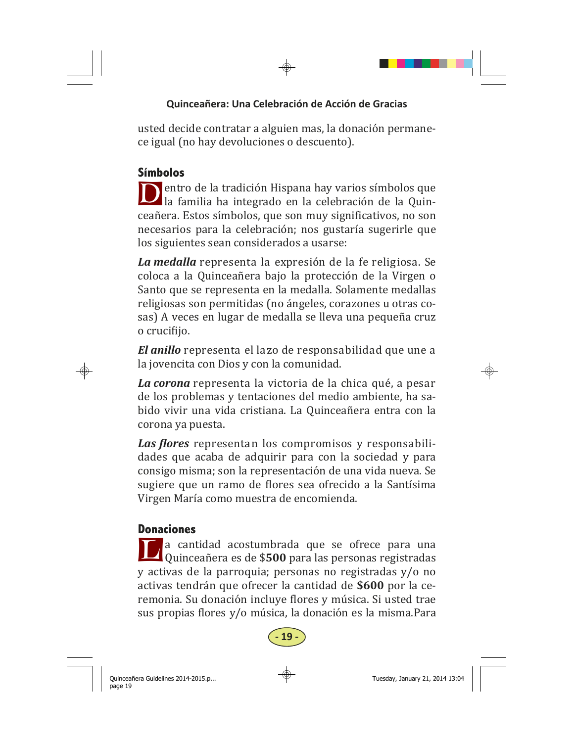usted decide contratar a alguien mas, la donación permanece igual (no hay devoluciones o descuento).

# **Símbolos**

D entro de la tradición Hispana hay varios símbolos que la familia ha integrado en la celebración de la Quinceañera. Estos símbolos, que son muy significativos, no son necesarios para la celebración; nos gustaría sugerirle que los siguientes sean considerados a usarse:

La *medalla* representa la expresión de la fe religiosa. Se coloca a la Quinceañera bajo la protección de la Virgen o Santo que se representa en la medalla. Solamente medallas religiosas son permitidas (no ángeles, corazones u otras cosas) A veces en lugar de medalla se lleva una pequeña cruz o crucifijo.

*El anillo* representa el lazo de responsabilidad que une a la jovencita con Dios y con la comunidad.

La corona representa la victoria de la chica qué, a pesar de los problemas y tentaciones del medio ambiente, ha sabido vivir una vida cristiana. La Quinceañera entra con la corona ya puesta.

Las *flores* representan los compromisos y responsabilidades que acaba de adquirir para con la sociedad y para consigo misma; son la representación de una vida nueva. Se sugiere que un ramo de flores sea ofrecido a la Santísima Virgen María como muestra de encomienda.

# **Donaciones**

a cantidad acostumbrada que se ofrece para una Quinceañera es de \$500 para las personas registradas y activas de la parroquia; personas no registradas y/o no activas tendrán que ofrecer la cantidad de \$600 por la ceremonia. Su donación incluve flores y música. Si usted trae sus propias flores y/o música, la donación es la misma.Para

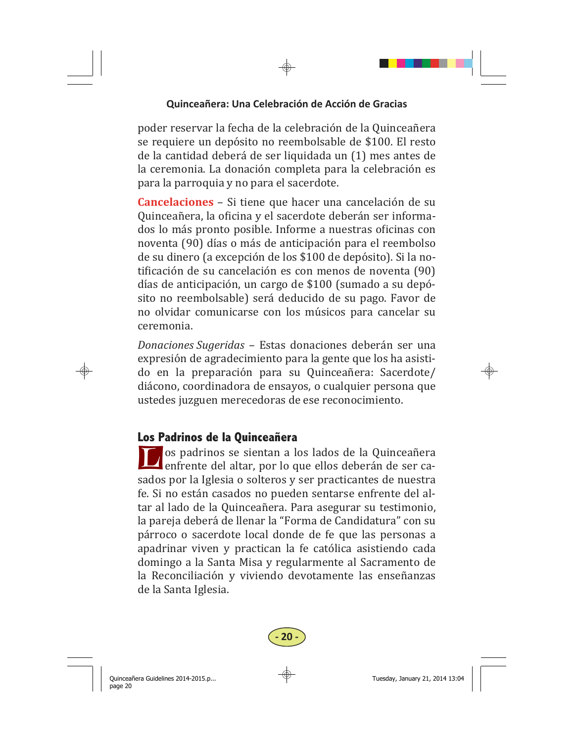poder reservar la fecha de la celebración de la Quinceañera se requiere un depósito no reembolsable de \$100. El resto de la cantidad deberá de ser liquidada un (1) mes antes de la ceremonia. La donación completa para la celebración es para la parroquia y no para el sacerdote.

**Cancelaciones** – Si tiene que hacer una cancelación de su Quinceañera, la oficina y el sacerdote deberán ser informados lo más pronto posible. Informe a nuestras oficinas con noventa (90) días o más de anticipación para el reembolso de su dinero (a excepción de los \$100 de depósito). Si la notificación de su cancelación es con menos de noventa (90) días de anticipación, un cargo de \$100 (sumado a su depósito no reembolsable) será deducido de su pago. Favor de no olvidar comunicarse con los músicos para cancelar su ceremonia. 

*Donaciones Sugeridas* – Estas donaciones deberán ser una expresión de agradecimiento para la gente que los ha asistido en la preparación para su Quinceañera: Sacerdote/ diácono, coordinadora de ensayos, o cualquier persona que ustedes juzguen merecedoras de ese reconocimiento.

## **Los Padrinos de la Quinceañera**

os padrinos se sientan a los lados de la Quinceañera enfrente del altar, por lo que ellos deberán de ser casados por la Iglesia o solteros y ser practicantes de nuestra fe. Si no están casados no pueden sentarse enfrente del altar al lado de la Quinceañera. Para asegurar su testimonio, la pareja deberá de llenar la "Forma de Candidatura" con su párroco o sacerdote local donde de fe que las personas a apadrinar viven y practican la fe católica asistiendo cada domingo a la Santa Misa y regularmente al Sacramento de la Reconciliación y viviendo devotamente las enseñanzas de la Santa Iglesia.

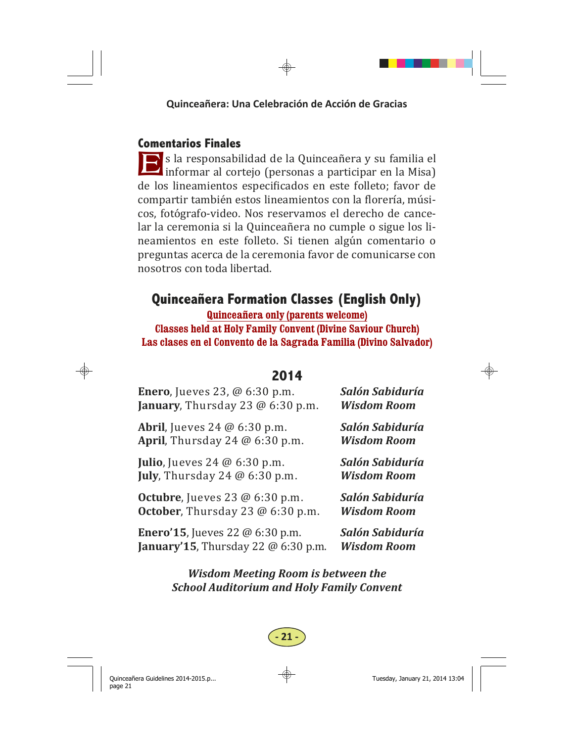## **Comentarios Finales**

E s la responsabilidad de la Quinceañera y su familia el informar al cortejo (personas a participar en la Misa) de los lineamientos especificados en este folleto; favor de compartir también estos lineamientos con la florería, músicos, fotógrafo-video. Nos reservamos el derecho de cancelar la ceremonia si la Quinceañera no cumple o sigue los lineamientos en este folleto. Si tienen algún comentario o preguntas acerca de la ceremonia favor de comunicarse con nosotros con toda libertad. 

# **Quinceañera Formation Classes (English Only)**

**Quinceañera only (parents welcome)** 

**Classes held at Holy Family Convent (Divine Saviour Church) Las clases en el Convento de la Sagrada Familia (Divino Salvador)** 

# **2014**

Enero, Jueves 23, @ 6:30 p.m. *Salón Sabiduría* **January**, Thursday 23 @ 6:30 p.m. *Wisdom Room* Abril, Jueves 24 @ 6:30 p.m. *Salón Sabiduría* **April**, Thursday 24 @ 6:30 p.m. *Wisdom Room* **Julio**, Jueves 24 @ 6:30 p.m. **Salón Sabiduría July**, Thursday 24 @ 6:30 p.m. *Wisdom Room* **Octubre**, Jueves 23 @ 6:30 p.m. *Salón Sabiduría* **October**, Thursday 23 @ 6:30 p.m. *Wisdom Room* **Enero'15**, Jueves 22 @ 6:30 p.m. *Salón Sabiduría* **January'15**, Thursday 22 @ 6:30 p.m. *Wisdom Room* 

## *Wisdom Meeting Room is between the School Auditorium and Holy Family Convent*

# **- 21 -**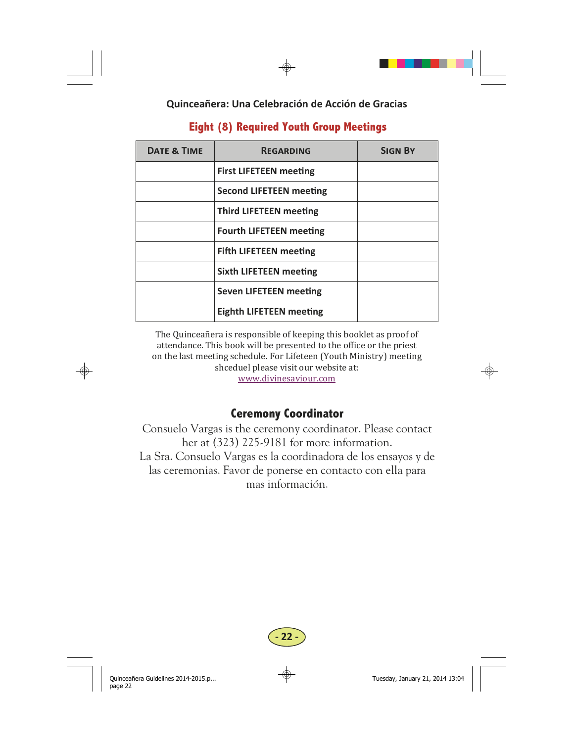| <b>DATE &amp; TIME</b> | <b>REGARDING</b>               | <b>SIGN BY</b> |
|------------------------|--------------------------------|----------------|
|                        | <b>First LIFETEEN meeting</b>  |                |
|                        | <b>Second LIFETEEN meeting</b> |                |
|                        | <b>Third LIFETEEN meeting</b>  |                |
|                        | <b>Fourth LIFETEEN meeting</b> |                |
|                        | <b>Fifth LIFETEEN meeting</b>  |                |
|                        | <b>Sixth LIFETEEN meeting</b>  |                |
|                        | <b>Seven LIFETEEN meeting</b>  |                |
|                        | <b>Eighth LIFETEEN meeting</b> |                |

## **Eight (8) Required Youth Group Meetings**

The Quinceañera is responsible of keeping this booklet as proof of attendance. This book will be presented to the office or the priest on the last meeting schedule. For Lifeteen (Youth Ministry) meeting shceduel please visit our website at:

www.divinesaviour.com 

## **Ceremony Coordinator**

Consuelo Vargas is the ceremony coordinator. Please contact her at (323) 225-9181 for more information. La Sra. Consuelo Vargas es la coordinadora de los ensayos y de las ceremonias. Favor de ponerse en contacto con ella para mas información.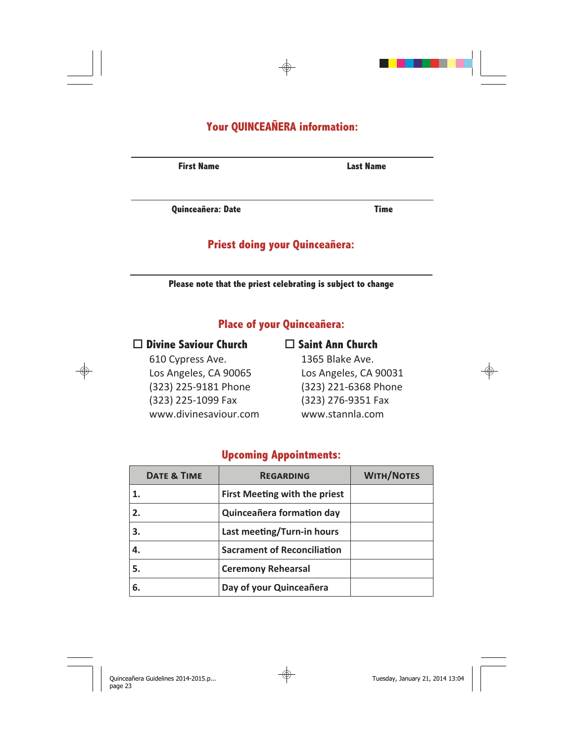# **Your QUINCEAÑERA information:**

**First Name Last Name** 

**Quinceañera: Date Time**

#### **Priest doing your Quinceañera:**

**Please note that the priest celebrating is subject to change**

## **Place of your Quinceañera:**

 **Divine Saviour Church** 

610 Cypress Ave. Los Angeles, CA 90065 (323) 225-9181 Phone (323) 225-1099 Fax www.divinesaviour.com

#### **Saint Ann Church**

1365 Blake Ave. Los Angeles, CA 90031 (323) 221-6368 Phone (323) 276-9351 Fax www.stannla.com

## **Upcoming Appointments:**

| <b>DATE &amp; TIME</b> | <b>REGARDING</b>                     | <b>WITH/NOTES</b> |
|------------------------|--------------------------------------|-------------------|
|                        | <b>First Meeting with the priest</b> |                   |
| 2.                     | Quinceañera formation day            |                   |
| 3.                     | Last meeting/Turn-in hours           |                   |
| 4.                     | <b>Sacrament of Reconciliation</b>   |                   |
| 5.                     | <b>Ceremony Rehearsal</b>            |                   |
| 6.                     | Day of your Quinceañera              |                   |